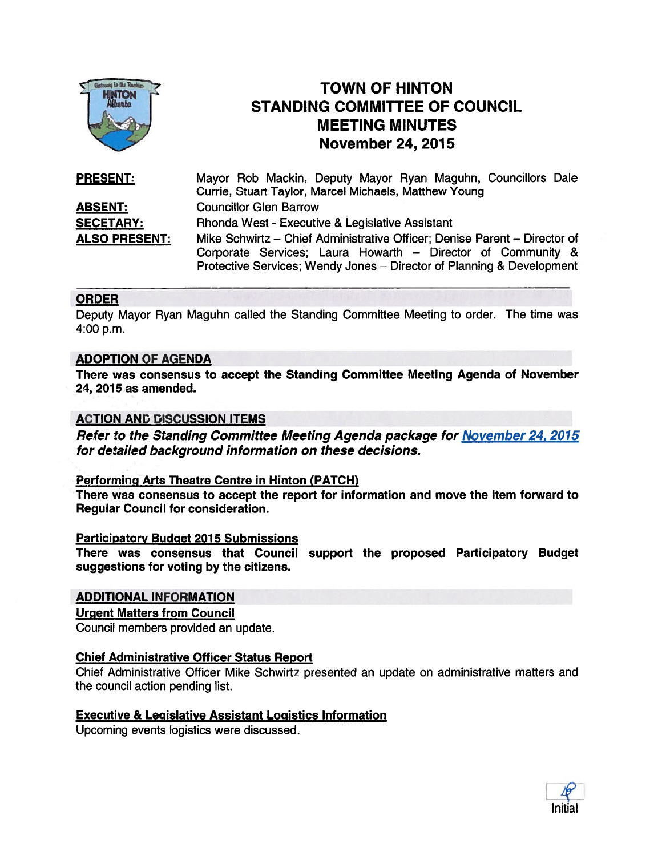

# TOWN OF HINTON STANDING COMMITTEE OF COUNCIL MEETING MINUTES November 24, 2015

| <b>PRESENT:</b>      | Mayor Rob Mackin, Deputy Mayor Ryan Maguhn, Councillors Dale              |
|----------------------|---------------------------------------------------------------------------|
|                      | Currie, Stuart Taylor, Marcel Michaels, Matthew Young                     |
| <u>ABSENT:</u>       | <b>Councillor Glen Barrow</b>                                             |
| <b>SECETARY:</b>     | Rhonda West - Executive & Legislative Assistant                           |
| <b>ALSO PRESENT:</b> | Mike Schwirtz – Chief Administrative Officer; Denise Parent – Director of |
|                      | Corporate Services; Laura Howarth - Director of Community &               |
|                      | Protective Services; Wendy Jones - Director of Planning & Development     |

#### ORDER

Deputy Mayor Ryan Maguhn called the Standing Committee Meeting to order. The time was 4:00 p.m.

#### ADOPTION OF AGENDA

There was consensus to accep<sup>t</sup> the Standing Committee Meeting Agenda of November 24, 2015 as amended.

#### ACTION AND DISCUSSION ITEMS

Refer to the Standing Committee Meeting Agenda package for November 24, 2015 for detailed background information on these decisions.

#### Performing Arts Theatre Centre in Hinton (PATCH)

There was consensus to accep<sup>t</sup> the repor<sup>t</sup> for information and move the item forward to Regular Council for consideration.

#### **Participatory Budget 2015 Submissions**

There was consensus that Council suppor<sup>t</sup> the proposed Participatory Budget suggestions for voting by the citizens.

## ADDITIONAL INFORMATION

#### Urgent Matters from Council

Council members provided an update.

#### Chief Administrative Officer Status Report

Chief Administrative Officer Mike Schwirtz presented an update on administrative matters and the council action pending list.

## Executive & Legislative Assistant Logistics Information

Upcoming events logistics were discussed.